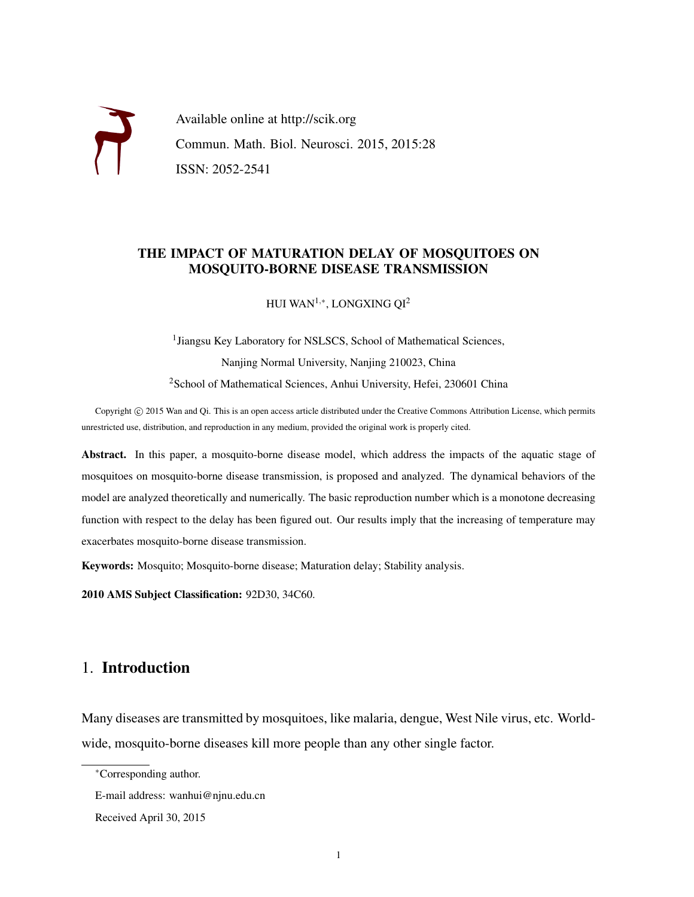

Available online at http://scik.org Commun. Math. Biol. Neurosci. 2015, 2015:28 ISSN: 2052-2541

## THE IMPACT OF MATURATION DELAY OF MOSQUITOES ON MOSQUITO-BORNE DISEASE TRANSMISSION

HUI WAN $^{1,\ast}$ , LONGXING QI $^2$ 

<sup>1</sup> Jiangsu Key Laboratory for NSLSCS, School of Mathematical Sciences, Nanjing Normal University, Nanjing 210023, China <sup>2</sup>School of Mathematical Sciences, Anhui University, Hefei, 230601 China

Copyright © 2015 Wan and Qi. This is an open access article distributed under the Creative Commons Attribution License, which permits unrestricted use, distribution, and reproduction in any medium, provided the original work is properly cited.

Abstract. In this paper, a mosquito-borne disease model, which address the impacts of the aquatic stage of mosquitoes on mosquito-borne disease transmission, is proposed and analyzed. The dynamical behaviors of the model are analyzed theoretically and numerically. The basic reproduction number which is a monotone decreasing function with respect to the delay has been figured out. Our results imply that the increasing of temperature may exacerbates mosquito-borne disease transmission.

Keywords: Mosquito; Mosquito-borne disease; Maturation delay; Stability analysis.

2010 AMS Subject Classification: 92D30, 34C60.

## 1. Introduction

Many diseases are transmitted by mosquitoes, like malaria, dengue, West Nile virus, etc. Worldwide, mosquito-borne diseases kill more people than any other single factor.

<sup>∗</sup>Corresponding author.

E-mail address: wanhui@njnu.edu.cn

Received April 30, 2015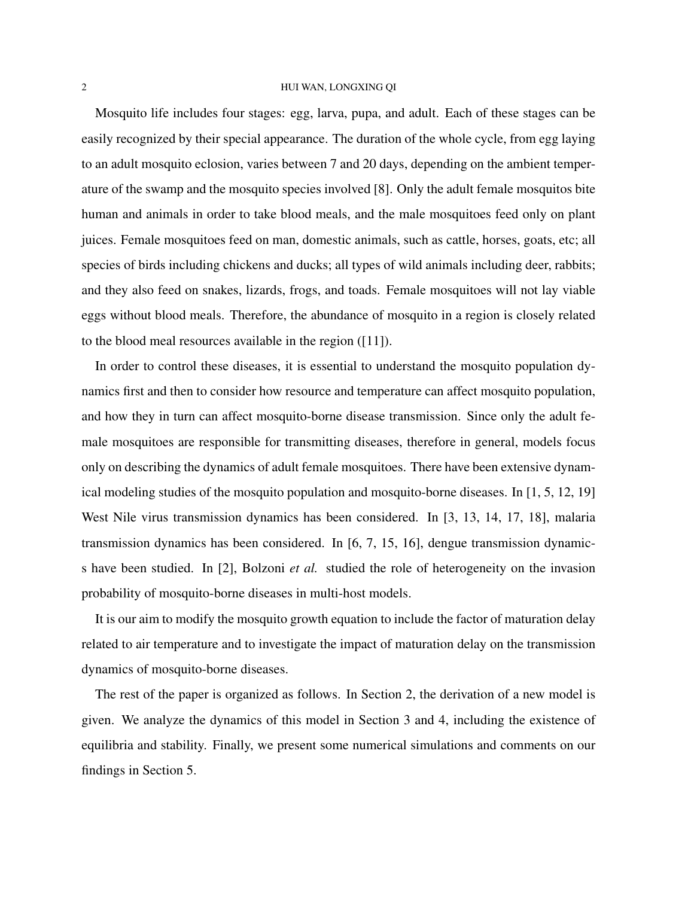## 2 HUI WAN, LONGXING QI

Mosquito life includes four stages: egg, larva, pupa, and adult. Each of these stages can be easily recognized by their special appearance. The duration of the whole cycle, from egg laying to an adult mosquito eclosion, varies between 7 and 20 days, depending on the ambient temperature of the swamp and the mosquito species involved [8]. Only the adult female mosquitos bite human and animals in order to take blood meals, and the male mosquitoes feed only on plant juices. Female mosquitoes feed on man, domestic animals, such as cattle, horses, goats, etc; all species of birds including chickens and ducks; all types of wild animals including deer, rabbits; and they also feed on snakes, lizards, frogs, and toads. Female mosquitoes will not lay viable eggs without blood meals. Therefore, the abundance of mosquito in a region is closely related to the blood meal resources available in the region ([11]).

In order to control these diseases, it is essential to understand the mosquito population dynamics first and then to consider how resource and temperature can affect mosquito population, and how they in turn can affect mosquito-borne disease transmission. Since only the adult female mosquitoes are responsible for transmitting diseases, therefore in general, models focus only on describing the dynamics of adult female mosquitoes. There have been extensive dynamical modeling studies of the mosquito population and mosquito-borne diseases. In [1, 5, 12, 19] West Nile virus transmission dynamics has been considered. In [3, 13, 14, 17, 18], malaria transmission dynamics has been considered. In [6, 7, 15, 16], dengue transmission dynamics have been studied. In [2], Bolzoni *et al.* studied the role of heterogeneity on the invasion probability of mosquito-borne diseases in multi-host models.

It is our aim to modify the mosquito growth equation to include the factor of maturation delay related to air temperature and to investigate the impact of maturation delay on the transmission dynamics of mosquito-borne diseases.

The rest of the paper is organized as follows. In Section 2, the derivation of a new model is given. We analyze the dynamics of this model in Section 3 and 4, including the existence of equilibria and stability. Finally, we present some numerical simulations and comments on our findings in Section 5.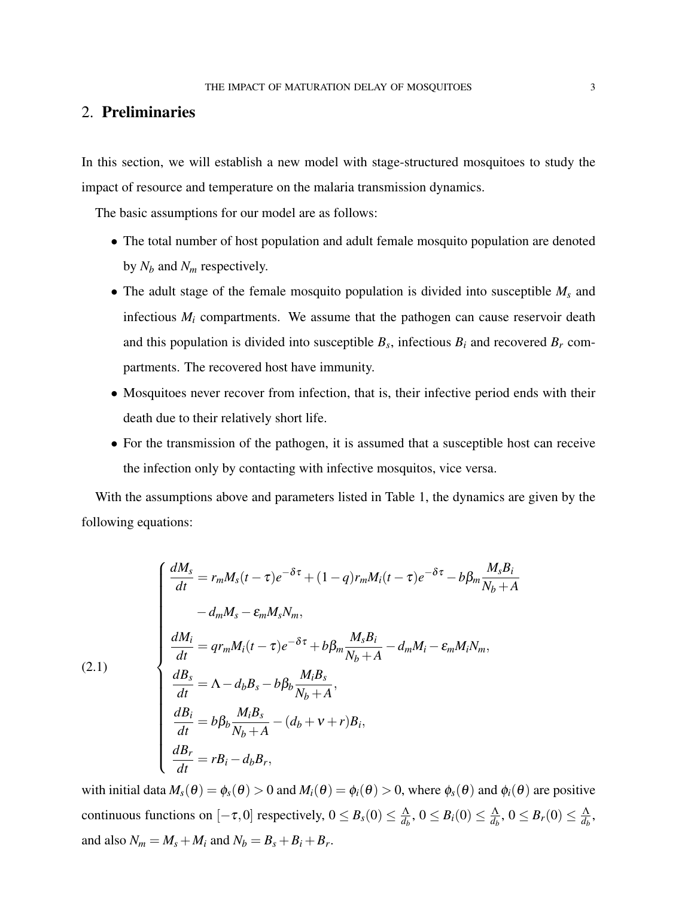# 2. Preliminaries

In this section, we will establish a new model with stage-structured mosquitoes to study the impact of resource and temperature on the malaria transmission dynamics.

The basic assumptions for our model are as follows:

- The total number of host population and adult female mosquito population are denoted by *N<sup>b</sup>* and *N<sup>m</sup>* respectively.
- The adult stage of the female mosquito population is divided into susceptible *M<sup>s</sup>* and infectious  $M_i$  compartments. We assume that the pathogen can cause reservoir death and this population is divided into susceptible  $B_s$ , infectious  $B_i$  and recovered  $B_r$  compartments. The recovered host have immunity.
- Mosquitoes never recover from infection, that is, their infective period ends with their death due to their relatively short life.
- For the transmission of the pathogen, it is assumed that a susceptible host can receive the infection only by contacting with infective mosquitos, vice versa.

With the assumptions above and parameters listed in Table 1, the dynamics are given by the following equations:

(2.1)  
\n
$$
\begin{cases}\n\frac{dM_s}{dt} = r_m M_s (t - \tau) e^{-\delta \tau} + (1 - q) r_m M_i (t - \tau) e^{-\delta \tau} - b \beta_m \frac{M_s B_i}{N_b + A} \\
- d_m M_s - \varepsilon_m M_s N_m, \\
\frac{dM_i}{dt} = q r_m M_i (t - \tau) e^{-\delta \tau} + b \beta_m \frac{M_s B_i}{N_b + A} - d_m M_i - \varepsilon_m M_i N_m, \\
\frac{dB_s}{dt} = \Lambda - d_b B_s - b \beta_b \frac{M_i B_s}{N_b + A}, \\
\frac{dB_i}{dt} = b \beta_b \frac{M_i B_s}{N_b + A} - (d_b + v + r) B_i, \\
\frac{dB_r}{dt} = r B_i - d_b B_r,\n\end{cases}
$$

with initial data  $M_s(\theta) = \phi_s(\theta) > 0$  and  $M_i(\theta) = \phi_i(\theta) > 0$ , where  $\phi_s(\theta)$  and  $\phi_i(\theta)$  are positive continuous functions on  $[-\tau, 0]$  respectively,  $0 \leq B_s(0) \leq \frac{\Lambda}{d\tau}$  $\frac{\Lambda}{d_b},\, 0\leq B_i(0)\leq \frac{\Lambda}{d_b}$  $\frac{\Lambda}{d_b},\, 0\leq B_r(0)\leq \frac{\Lambda}{d_b}$  $\frac{\Lambda}{d_b}$ and also  $N_m = M_s + M_i$  and  $N_b = B_s + B_i + B_r$ .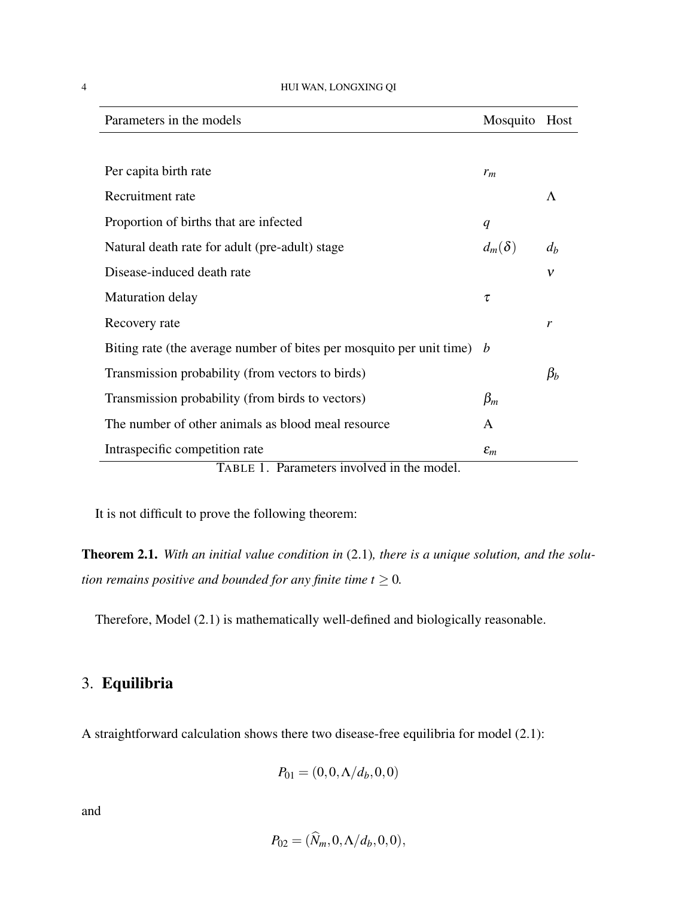| Parameters in the models                                                       | Mosquito        | Host        |
|--------------------------------------------------------------------------------|-----------------|-------------|
|                                                                                |                 |             |
| Per capita birth rate                                                          | $r_m$           |             |
| Recruitment rate                                                               |                 | $\Lambda$   |
| Proportion of births that are infected                                         | q               |             |
| Natural death rate for adult (pre-adult) stage                                 | $d_m(\delta)$   | $d_h$       |
| Disease-induced death rate                                                     |                 | $\mathbf v$ |
| <b>Maturation delay</b>                                                        | τ               |             |
| Recovery rate                                                                  |                 | r           |
| Biting rate (the average number of bites per mosquito per unit time) $\bar{b}$ |                 |             |
| Transmission probability (from vectors to birds)                               |                 | $\beta_h$   |
| Transmission probability (from birds to vectors)                               | $\beta_m$       |             |
| The number of other animals as blood meal resource                             | A               |             |
| Intraspecific competition rate                                                 | $\varepsilon_m$ |             |
| TABLE 1. Parameters involved in the model.                                     |                 |             |

It is not difficult to prove the following theorem:

Theorem 2.1. *With an initial value condition in* (2.1)*, there is a unique solution, and the solution remains positive and bounded for any finite time*  $t \geq 0$ *.* 

Therefore, Model (2.1) is mathematically well-defined and biologically reasonable.

# 3. Equilibria

A straightforward calculation shows there two disease-free equilibria for model (2.1):

$$
P_{01}=(0,0,\Lambda/d_b,0,0)
$$

and

$$
P_{02}=(\widehat{N}_m,0,\Lambda/d_b,0,0),
$$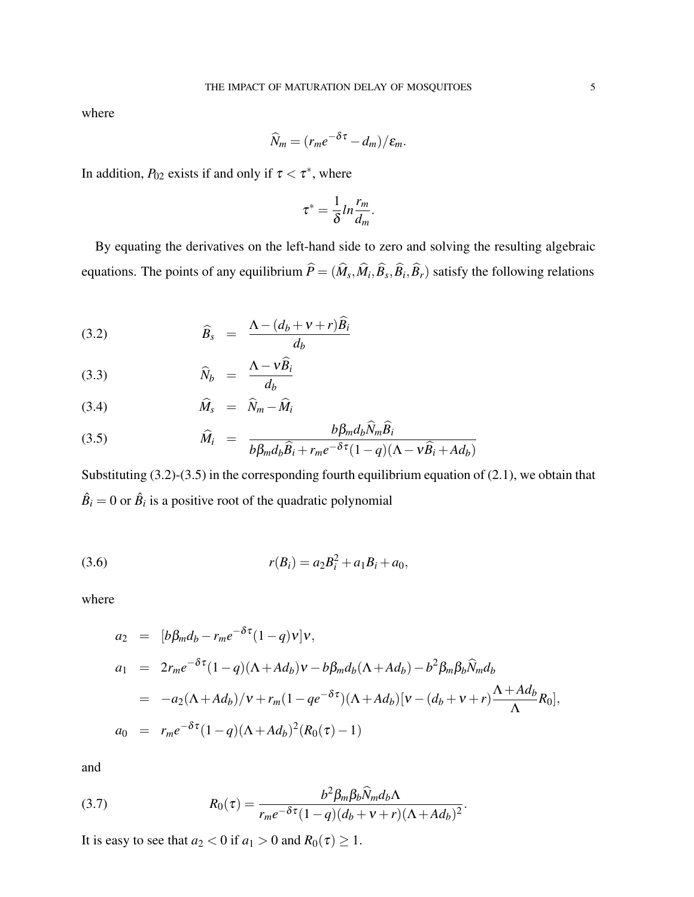where

$$
\widehat{N}_m = (r_m e^{-\delta \tau} - d_m) / \varepsilon_m.
$$

In addition,  $P_{02}$  exists if and only if  $\tau < \tau^*$ , where

$$
\tau^* = \frac{1}{\delta} ln \frac{r_m}{d_m}.
$$

By equating the derivatives on the left-hand side to zero and solving the resulting algebraic equations. The points of any equilibrium  $P = (M_s, M_i, B_s, B_i, B_r)$  satisfy the following relations

$$
\widehat{B}_s = \frac{\Lambda - (d_b + v + r)\widehat{B}_i}{d_b}
$$

$$
\widehat{N}_b = \frac{\Lambda - \nu \widehat{B}_i}{d_b}
$$

$$
\widehat{M}_s = \widehat{N}_m - \widehat{M}_i
$$

(3.5) 
$$
\widehat{M}_i = \frac{b\beta_m d_b N_m B_i}{b\beta_m d_b \widehat{B}_i + r_m e^{-\delta \tau} (1-q)(\Lambda - \nu \widehat{B}_i + A d_b)}
$$

Substituting (3.2)-(3.5) in the corresponding fourth equilibrium equation of (2.1), we obtain that  $\hat{B}_i = 0$  or  $\hat{B}_i$  is a positive root of the quadratic polynomial

(3.6) 
$$
r(B_i) = a_2 B_i^2 + a_1 B_i + a_0,
$$

where

$$
a_2 = [b\beta_m d_b - r_m e^{-\delta \tau} (1-q)v]v,
$$
  
\n
$$
a_1 = 2r_m e^{-\delta \tau} (1-q)(\Lambda + Ad_b)v - b\beta_m d_b(\Lambda + Ad_b) - b^2 \beta_m \beta_b \widehat{N}_m d_b
$$
  
\n
$$
= -a_2(\Lambda + Ad_b)/v + r_m(1 - q e^{-\delta \tau}) (\Lambda + Ad_b)[v - (d_b + v + r) \frac{\Lambda + Ad_b}{\Lambda} R_0],
$$
  
\n
$$
a_0 = r_m e^{-\delta \tau} (1-q)(\Lambda + Ad_b)^2 (R_0(\tau) - 1)
$$

and

(3.7) 
$$
R_0(\tau) = \frac{b^2 \beta_m \beta_b \widehat{N}_m d_b \Lambda}{r_m e^{-\delta \tau} (1-q) (d_b + v + r) (\Lambda + Ad_b)^2}.
$$

It is easy to see that  $a_2 < 0$  if  $a_1 > 0$  and  $R_0(\tau) \ge 1$ .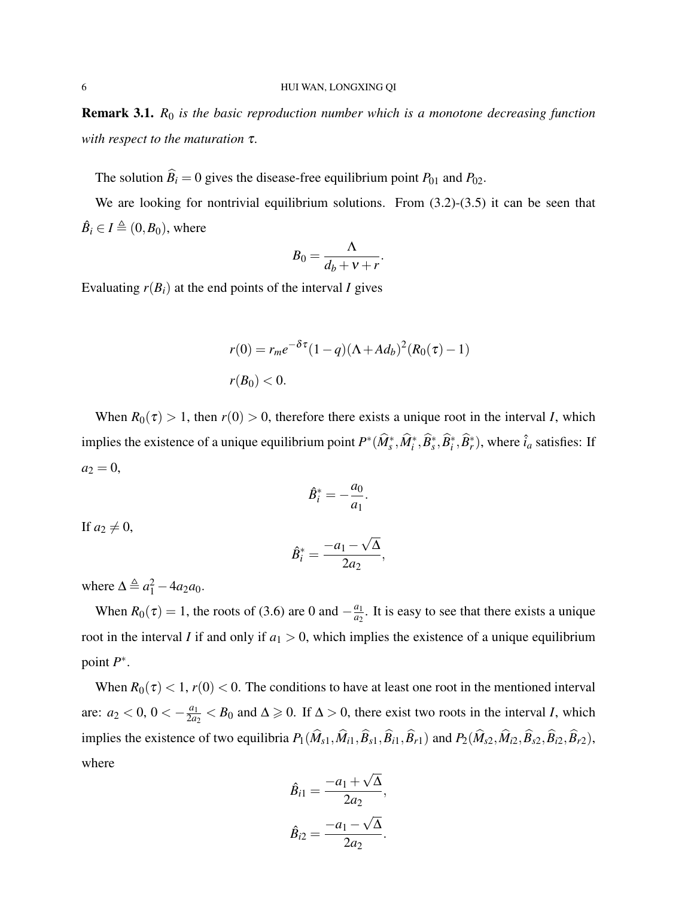Remark 3.1. *R*<sup>0</sup> *is the basic reproduction number which is a monotone decreasing function with respect to the maturation* τ*.*

The solution  $\widehat{B}_i = 0$  gives the disease-free equilibrium point  $P_{01}$  and  $P_{02}$ .

We are looking for nontrivial equilibrium solutions. From  $(3.2)-(3.5)$  it can be seen that  $\hat{B}_i \in I \triangleq (0, B_0)$ , where

$$
B_0 = \frac{\Lambda}{d_b + \nu + r}
$$

.

Evaluating  $r(B_i)$  at the end points of the interval *I* gives

$$
r(0) = r_m e^{-\delta \tau} (1 - q) (\Lambda + Ad_b)^2 (R_0(\tau) - 1)
$$
  

$$
r(B_0) < 0.
$$

When  $R_0(\tau) > 1$ , then  $r(0) > 0$ , therefore there exists a unique root in the interval *I*, which implies the existence of a unique equilibrium point  $P^*(\widehat{M}_s^*, \widehat{M}_i^*, \widehat{B}_s^*, \widehat{B}_i^*, \widehat{B}_r^*)$ , where  $\hat{i}_a$  satisfies: If  $a_2 = 0$ ,

$$
\hat{B}_i^* = -\frac{a_0}{a_1}.
$$

If  $a_2 \neq 0$ ,

$$
\hat{B}_i^* = \frac{-a_1 - \sqrt{\Delta}}{2a_2},
$$

where  $\Delta \triangleq a_1^2 - 4a_2a_0$ .

When  $R_0(\tau) = 1$ , the roots of (3.6) are 0 and  $-\frac{a_1}{a_2}$  $\frac{a_1}{a_2}$ . It is easy to see that there exists a unique root in the interval *I* if and only if  $a_1 > 0$ , which implies the existence of a unique equilibrium point  $P^*$ .

When  $R_0(\tau) < 1$ ,  $r(0) < 0$ . The conditions to have at least one root in the mentioned interval are:  $a_2 < 0$ ,  $0 < -\frac{a_1}{2a_2}$  $\frac{a_1}{2a_2}$  < *B*<sub>0</sub> and ∆ ≥ 0. If ∆ > 0, there exist two roots in the interval *I*, which implies the existence of two equilibria  $P_1(\widehat{M}_{s1}, \widehat{M}_{i1}, \widehat{B}_{s1}, \widehat{B}_{i1}, \widehat{B}_{r1})$  and  $P_2(\widehat{M}_{s2}, \widehat{M}_{i2}, \widehat{B}_{s2}, \widehat{B}_{r2}, \widehat{B}_{r2})$ , where

$$
\hat{B}_{i1} = \frac{-a_1 + \sqrt{\Delta}}{2a_2},
$$

$$
\hat{B}_{i2} = \frac{-a_1 - \sqrt{\Delta}}{2a_2}.
$$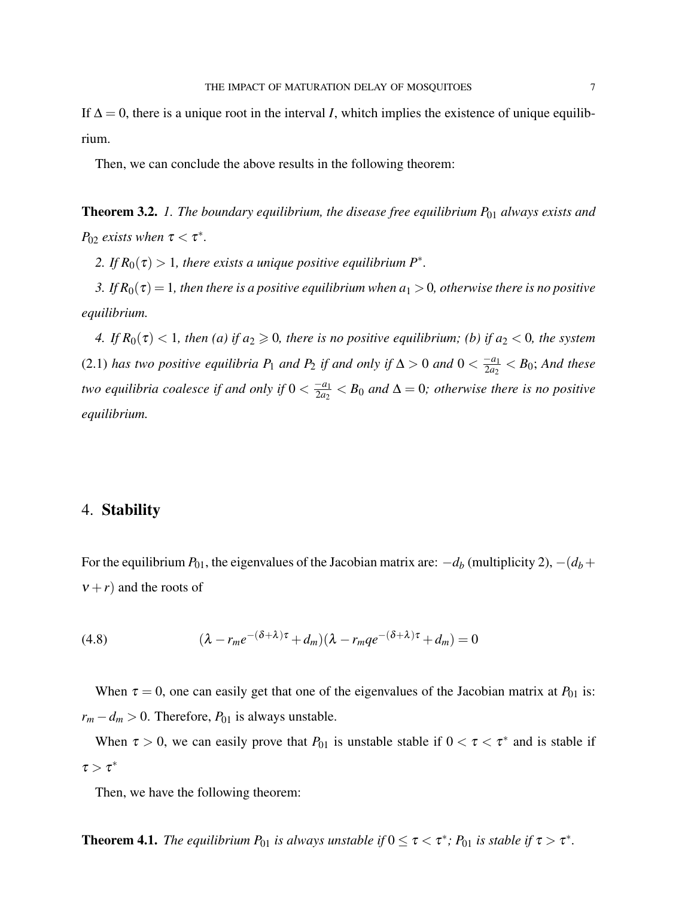If  $\Delta = 0$ , there is a unique root in the interval *I*, whitch implies the existence of unique equilibrium.

Then, we can conclude the above results in the following theorem:

**Theorem 3.2.** *1. The boundary equilibrium, the disease free equilibrium P*<sub>01</sub> *always exists and P*<sub>02</sub> *exists when*  $\tau < \tau^*$ *.* 

2. If  $R_0(\tau) > 1$ , there exists a unique positive equilibrium  $P^*$ .

*3. If*  $R_0(\tau) = 1$ *, then there is a positive equilibrium when*  $a_1 > 0$ *, otherwise there is no positive equilibrium.*

*4. If*  $R_0(\tau) < 1$ *, then* (a) if  $a_2 \ge 0$ *, there is no positive equilibrium; (b) if*  $a_2 < 0$ *, the system* (2.1) *has two positive equilibria*  $P_1$  *and*  $P_2$  *if and only if* ∆ > 0 *and* 0 <  $\frac{-a_1}{2a_2}$  $\frac{-a_1}{2a_2} < B_0$ ; And these *two equilibria coalesce if and only if*  $0 < \frac{-a_1}{2a_2}$  $\frac{-a_1}{2a_2} < B_0$  and  $\Delta = 0$ ; otherwise there is no positive *equilibrium.*

## 4. Stability

For the equilibrium  $P_{01}$ , the eigenvalues of the Jacobian matrix are:  $-d_b$  (multiplicity 2),  $-(d_b +$  $v + r$ ) and the roots of

(4.8) 
$$
(\lambda - r_m e^{-(\delta + \lambda)\tau} + d_m)(\lambda - r_m q e^{-(\delta + \lambda)\tau} + d_m) = 0
$$

When  $\tau = 0$ , one can easily get that one of the eigenvalues of the Jacobian matrix at  $P_{01}$  is:  $r_m - d_m > 0$ . Therefore,  $P_{01}$  is always unstable.

When  $\tau > 0$ , we can easily prove that  $P_{01}$  is unstable stable if  $0 < \tau < \tau^*$  and is stable if  $\tau > \tau^*$ 

Then, we have the following theorem:

**Theorem 4.1.** The equilibrium  $P_{01}$  is always unstable if  $0 \le \tau < \tau^*$ ;  $P_{01}$  is stable if  $\tau > \tau^*$ .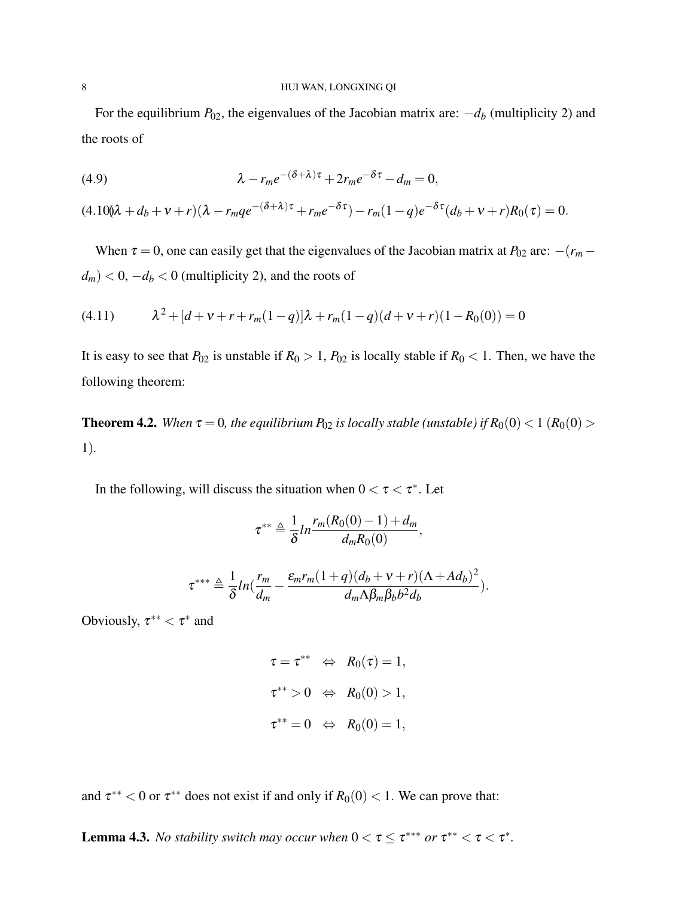#### 8 HUI WAN, LONGXING QI

For the equilibrium  $P_{02}$ , the eigenvalues of the Jacobian matrix are:  $-d_b$  (multiplicity 2) and the roots of

(4.9) 
$$
\lambda - r_m e^{-(\delta + \lambda)\tau} + 2r_m e^{-\delta \tau} - d_m = 0,
$$

 $(4.100\lambda + d_b + v + r)(\lambda - r_m q e^{-(\delta + \lambda)\tau} + r_m e^{-\delta \tau}) - r_m (1 - q) e^{-\delta \tau} (d_b + v + r) R_0(\tau) = 0.$ 

When  $\tau = 0$ , one can easily get that the eigenvalues of the Jacobian matrix at  $P_{02}$  are:  $-(r_m$  $d_m$ ) < 0,  $-d_b$  < 0 (multiplicity 2), and the roots of

(4.11) 
$$
\lambda^2 + [d + v + r + r_m(1-q)]\lambda + r_m(1-q)(d + v + r)(1 - R_0(0)) = 0
$$

It is easy to see that  $P_{02}$  is unstable if  $R_0 > 1$ ,  $P_{02}$  is locally stable if  $R_0 < 1$ . Then, we have the following theorem:

**Theorem 4.2.** *When*  $\tau = 0$ *, the equilibrium*  $P_{02}$  *is locally stable (unstable) if*  $R_0(0) < 1$  ( $R_0(0) >$ 1)*.*

In the following, will discuss the situation when  $0 < \tau < \tau^*$ . Let

$$
\tau^{**} \triangleq \frac{1}{\delta} ln \frac{r_m(R_0(0)-1)+d_m}{d_m R_0(0)},
$$

$$
\tau^{***} \triangleq \frac{1}{\delta} ln(\frac{r_m}{d_m} - \frac{\varepsilon_m r_m (1+q)(d_b + v + r)(\Lambda + Ad_b)^2}{d_m \Lambda \beta_m \beta_b b^2 d_b}).
$$

Obviously,  $\tau^{**} < \tau^*$  and

$$
\tau = \tau^{**} \Leftrightarrow R_0(\tau) = 1,
$$
  

$$
\tau^{**} > 0 \Leftrightarrow R_0(0) > 1,
$$
  

$$
\tau^{**} = 0 \Leftrightarrow R_0(0) = 1,
$$

and  $\tau^{**}$  < 0 or  $\tau^{**}$  does not exist if and only if  $R_0(0)$  < 1. We can prove that:

**Lemma 4.3.** *No stability switch may occur when*  $0 < \tau \leq \tau^{***}$  *or*  $\tau^{**} < \tau < \tau^*$ .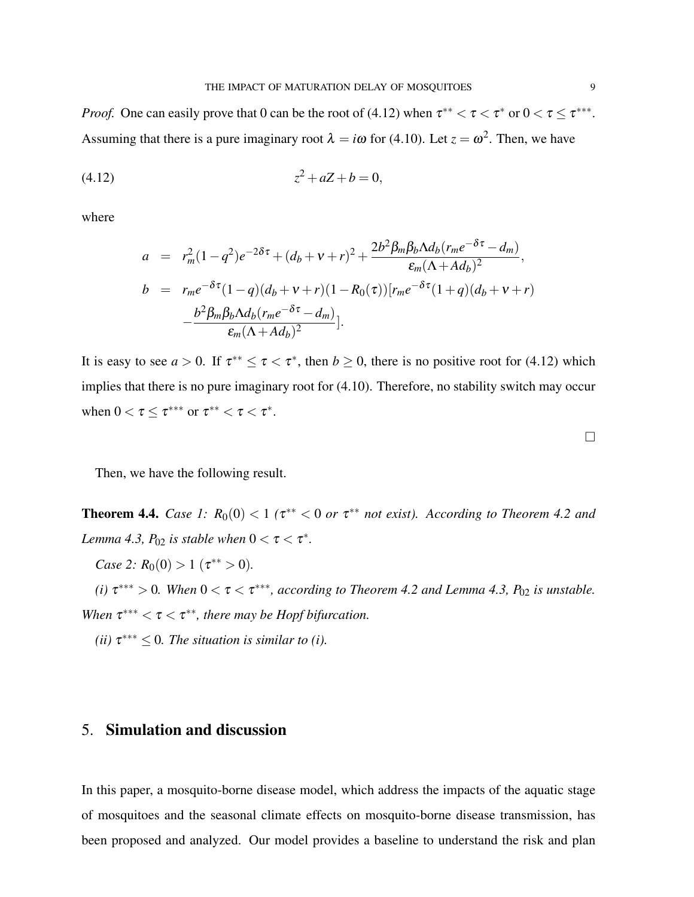*Proof.* One can easily prove that 0 can be the root of (4.12) when  $\tau^{**} < \tau < \tau^*$  or  $0 < \tau \leq \tau^{***}$ . Assuming that there is a pure imaginary root  $\lambda = i\omega$  for (4.10). Let  $z = \omega^2$ . Then, we have

$$
(4.12) \t\t\t z^2 + aZ + b = 0,
$$

where

$$
a = r_m^2 (1 - q^2) e^{-2\delta\tau} + (d_b + v + r)^2 + \frac{2b^2 \beta_m \beta_b \Lambda d_b (r_m e^{-\delta\tau} - d_m)}{\varepsilon_m (\Lambda + Ad_b)^2},
$$
  
\n
$$
b = r_m e^{-\delta\tau} (1 - q) (d_b + v + r) (1 - R_0(\tau)) [r_m e^{-\delta\tau} (1 + q) (d_b + v + r)] - \frac{b^2 \beta_m \beta_b \Lambda d_b (r_m e^{-\delta\tau} - d_m)}{\varepsilon_m (\Lambda + Ad_b)^2}.
$$

It is easy to see  $a > 0$ . If  $\tau^{**} \le \tau < \tau^*$ , then  $b \ge 0$ , there is no positive root for (4.12) which implies that there is no pure imaginary root for (4.10). Therefore, no stability switch may occur when  $0 < \tau \leq \tau^{***}$  or  $\tau^{**} < \tau < \tau^*$ .

Then, we have the following result.

**Theorem 4.4.** *Case 1:*  $R_0(0) < 1$  ( $\tau^{**} < 0$  or  $\tau^{**}$  not exist). According to Theorem 4.2 and *Lemma 4.3, P*<sub>02</sub> *is stable when*  $0 < \tau < \tau^*$ *.* 

*Case 2:*  $R_0(0) > 1$  ( $\tau^{**} > 0$ ).

(*i*)  $\tau^{***} > 0$ . When  $0 < \tau < \tau^{***}$ , according to Theorem 4.2 and Lemma 4.3,  $P_{02}$  is unstable. When  $\tau^{***} < \tau < \tau^{**}$ , there may be Hopf bifurcation.

*(ii)*  $\tau^{***} \leq 0$ *. The situation is similar to (i).* 

# 5. Simulation and discussion

In this paper, a mosquito-borne disease model, which address the impacts of the aquatic stage of mosquitoes and the seasonal climate effects on mosquito-borne disease transmission, has been proposed and analyzed. Our model provides a baseline to understand the risk and plan

 $\Box$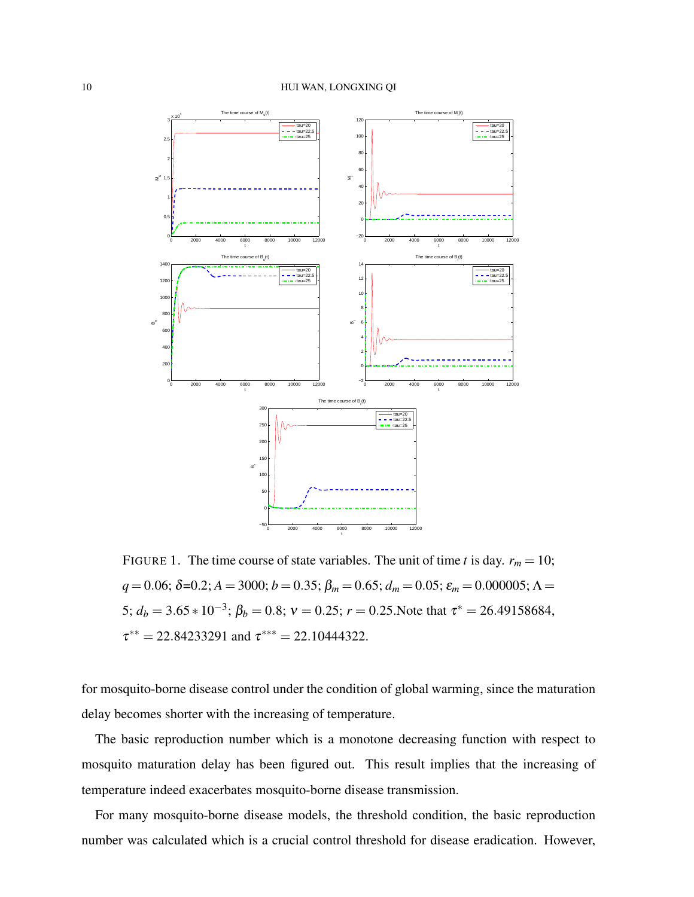

FIGURE 1. The time course of state variables. The unit of time *t* is day.  $r_m = 10$ ;  $q = 0.06$ ;  $\delta = 0.2$ ;  $A = 3000$ ;  $b = 0.35$ ;  $\beta_m = 0.65$ ;  $d_m = 0.05$ ;  $\varepsilon_m = 0.000005$ ;  $\Lambda =$ 5;  $d_b = 3.65 * 10^{-3}$ ;  $\beta_b = 0.8$ ;  $v = 0.25$ ;  $r = 0.25$ . Note that  $\tau^* = 26.49158684$ ,  $\tau^{**} = 22.84233291$  and  $\tau^{***} = 22.10444322$ .

for mosquito-borne disease control under the condition of global warming, since the maturation delay becomes shorter with the increasing of temperature.

The basic reproduction number which is a monotone decreasing function with respect to mosquito maturation delay has been figured out. This result implies that the increasing of temperature indeed exacerbates mosquito-borne disease transmission.

For many mosquito-borne disease models, the threshold condition, the basic reproduction number was calculated which is a crucial control threshold for disease eradication. However,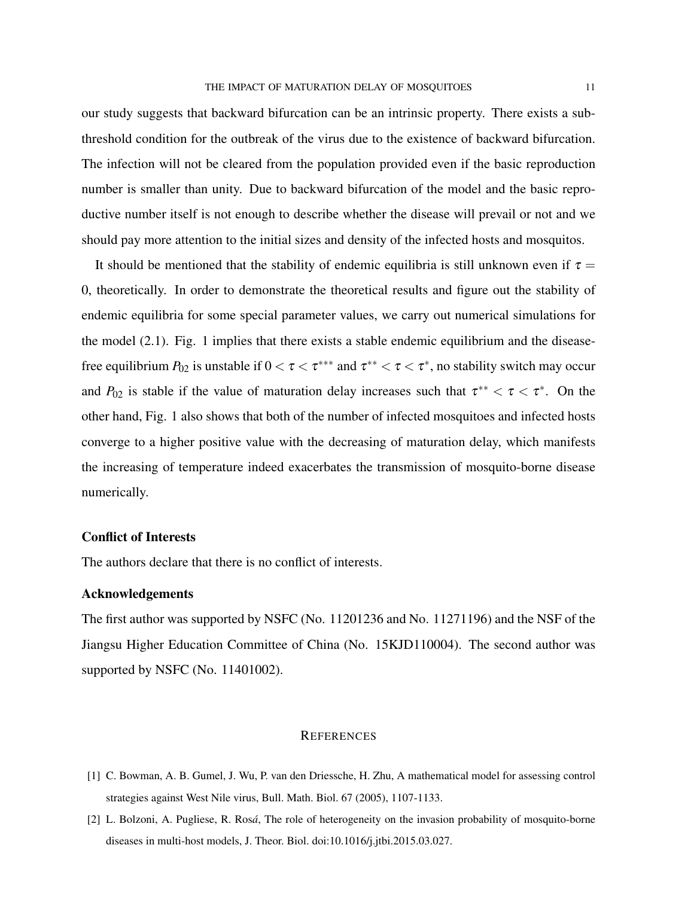our study suggests that backward bifurcation can be an intrinsic property. There exists a subthreshold condition for the outbreak of the virus due to the existence of backward bifurcation. The infection will not be cleared from the population provided even if the basic reproduction number is smaller than unity. Due to backward bifurcation of the model and the basic reproductive number itself is not enough to describe whether the disease will prevail or not and we should pay more attention to the initial sizes and density of the infected hosts and mosquitos.

It should be mentioned that the stability of endemic equilibria is still unknown even if  $\tau =$ 0, theoretically. In order to demonstrate the theoretical results and figure out the stability of endemic equilibria for some special parameter values, we carry out numerical simulations for the model (2.1). Fig. 1 implies that there exists a stable endemic equilibrium and the diseasefree equilibrium  $P_{02}$  is unstable if  $0 < \tau < \tau^{***}$  and  $\tau^{**} < \tau < \tau^*$ , no stability switch may occur and  $P_{02}$  is stable if the value of maturation delay increases such that  $\tau^{**} < \tau < \tau^*$ . On the other hand, Fig. 1 also shows that both of the number of infected mosquitoes and infected hosts converge to a higher positive value with the decreasing of maturation delay, which manifests the increasing of temperature indeed exacerbates the transmission of mosquito-borne disease numerically.

## Conflict of Interests

The authors declare that there is no conflict of interests.

### Acknowledgements

The first author was supported by NSFC (No. 11201236 and No. 11271196) and the NSF of the Jiangsu Higher Education Committee of China (No. 15KJD110004). The second author was supported by NSFC (No. 11401002).

### **REFERENCES**

- [1] C. Bowman, A. B. Gumel, J. Wu, P. van den Driessche, H. Zhu, A mathematical model for assessing control strategies against West Nile virus, Bull. Math. Biol. 67 (2005), 1107-1133.
- [2] L. Bolzoni, A. Pugliese, R. Ros*á*, The role of heterogeneity on the invasion probability of mosquito-borne diseases in multi-host models, J. Theor. Biol. doi:10.1016/j.jtbi.2015.03.027.